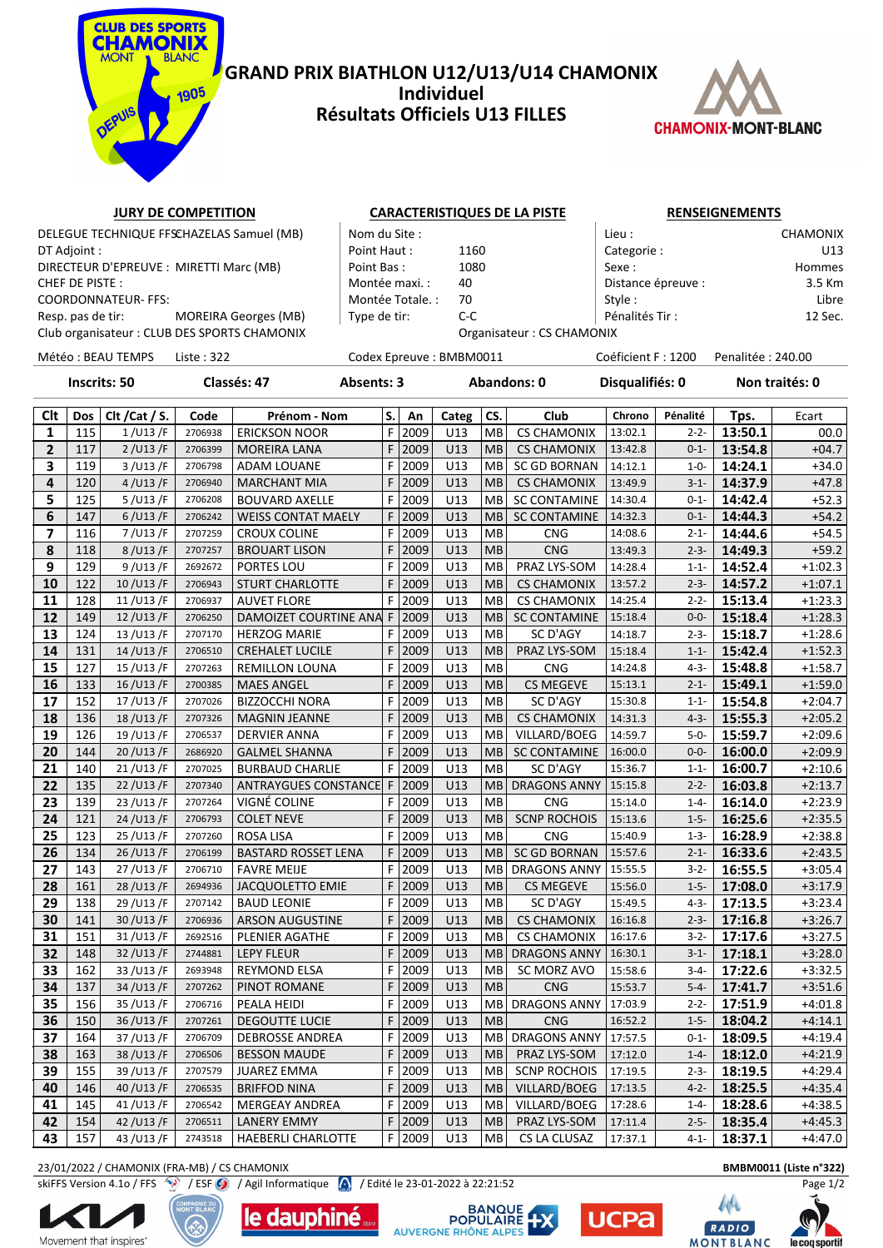

### **GRAND PRIX BIATHLON U12/U13/U14 CHAMONIX Individuel Résultats Officiels U13 FILLES**



## **JURY DE COMPETITION CARACTERISTIQUES DE LA PISTE RENSEIGNEMENTS**

DT Adjoint : Point Haut : 1160 Categorie : U13 DIRECTEUR D'EPREUVE : MIRETTI Marc (MB) Point Bas : 1080 Sexe : Hommes CHEF DE PISTE : The Montée maxi. : 40 Distance épreuve : 3.5 Km COORDONNATEUR- FFS: Libre | Montée Totale. : 70 Style : Style : Libre | Style : Libre | Libre | Style : Libre | Libre | Libre | Style : Libre | Libre | Libre | Libre | Libre | Libre | Libre | Libre | Libre | Libre | Libre Resp. pas de tir: MOREIRA Georges (MB) Type de tir: C-C Pénalités Tir : 12 Sec.

|                     | DELEGUE TECHNIQUE FFSCHAZELAS Samuel (MB)   | Nom du Site :    |                           | Lieu :             | <b>CHAMONIX</b> |
|---------------------|---------------------------------------------|------------------|---------------------------|--------------------|-----------------|
| DT Adjoint :        |                                             | Point Haut:      | 1160                      | Categorie:         | U <sub>13</sub> |
|                     | DIRECTEUR D'EPREUVE : MIRETTI Marc (MB)     | Point Bas:       | 1080                      | Sexe :             | Hommes          |
| CHEF DE PISTE :     |                                             | Montée maxi. :   | 40                        | Distance épreuve : | 3.5 Km          |
| COORDONNATEUR- FFS: |                                             | Montée Totale. : | 70                        | Style:             | Libre           |
| Resp. pas de tir:   | MOREIRA Georges (MB)                        | Type de tir:     | C-C                       | Pénalités Tir:     | 12 Sec.         |
|                     | Club organisateur: CLUB DES SPORTS CHAMONIX |                  | Organisateur: CS CHAMONIX |                    |                 |

Club organisateur : CLUB DES SPORTS CHAMONIX **CHAMONIX** Organisateur : CS CHA

Météo : BEAU TEMPS Liste : 322 Codex Epreuve : BMBM0011 Coéficient F : 1200 Penalitée : 240.00

**Inscrits: 50 Classés: 47 Absents: 3 Abandons: 0 Disqualifiés: 0 Non traités: 0**

| Clt             | Dos | Clt / Cat / S. | Code    | Prénom - Nom                | S. | An   | Categ | CS.       | Club                | Chrono  | Pénalité  | Tps.    | Ecart     |
|-----------------|-----|----------------|---------|-----------------------------|----|------|-------|-----------|---------------------|---------|-----------|---------|-----------|
| $\mathbf{1}$    | 115 | 1/U13/F        | 2706938 | <b>ERICKSON NOOR</b>        | F  | 2009 | U13   | MB        | <b>CS CHAMONIX</b>  | 13:02.1 | $2 - 2 -$ | 13:50.1 | 00.0      |
| $\overline{2}$  | 117 | 2 / U13 / F    | 2706399 | <b>MOREIRA LANA</b>         | F  | 2009 | U13   | <b>MB</b> | <b>CS CHAMONIX</b>  | 13:42.8 | $0 - 1 -$ | 13:54.8 | $+04.7$   |
| 3               | 119 | 3 / U13 / F    | 2706798 | <b>ADAM LOUANE</b>          | F  | 2009 | U13   | <b>MB</b> | SC GD BORNAN        | 14:12.1 | $1 - 0 -$ | 14:24.1 | $+34.0$   |
| 4               | 120 | 4 / U13 / F    | 2706940 | <b>MARCHANT MIA</b>         | F. | 2009 | U13   | <b>MB</b> | <b>CS CHAMONIX</b>  | 13:49.9 | $3 - 1 -$ | 14:37.9 | $+47.8$   |
| 5               | 125 | 5/U13/F        | 2706208 | <b>BOUVARD AXELLE</b>       | F  | 2009 | U13   | <b>MB</b> | <b>SC CONTAMINE</b> | 14:30.4 | $0 - 1 -$ | 14:42.4 | $+52.3$   |
| 6               | 147 | 6/U13/F        | 2706242 | <b>WEISS CONTAT MAELY</b>   | F  | 2009 | U13   | <b>MB</b> | <b>SC CONTAMINE</b> | 14:32.3 | $0 - 1 -$ | 14:44.3 | $+54.2$   |
| 7               | 116 | 7/U13/F        | 2707259 | <b>CROUX COLINE</b>         | F. | 2009 | U13   | MB        | <b>CNG</b>          | 14:08.6 | $2 - 1 -$ | 14:44.6 | $+54.5$   |
| 8               | 118 | 8/U13/F        | 2707257 | <b>BROUART LISON</b>        | F  | 2009 | U13   | <b>MB</b> | <b>CNG</b>          | 13:49.3 | $2 - 3 -$ | 14:49.3 | $+59.2$   |
| 9               | 129 | 9/U13/F        | 2692672 | PORTES LOU                  | F. | 2009 | U13   | MВ        | PRAZ LYS-SOM        | 14:28.4 | $1 - 1 -$ | 14:52.4 | $+1:02.3$ |
| 10              | 122 | 10/U13/F       | 2706943 | <b>STURT CHARLOTTE</b>      | F  | 2009 | U13   | <b>MB</b> | <b>CS CHAMONIX</b>  | 13:57.2 | $2 - 3 -$ | 14:57.2 | $+1:07.1$ |
| 11              | 128 | 11/U13/F       | 2706937 | <b>AUVET FLORE</b>          | F. | 2009 | U13   | MB        | <b>CS CHAMONIX</b>  | 14:25.4 | $2 - 2 -$ | 15:13.4 | $+1:23.3$ |
| 12              | 149 | 12/U13/F       | 2706250 | DAMOIZET COURTINE ANA       | F  | 2009 | U13   | MB        | <b>SC CONTAMINE</b> | 15:18.4 | $0 - 0 -$ | 15:18.4 | $+1:28.3$ |
| 13              | 124 | 13/U13/F       | 2707170 | <b>HERZOG MARIE</b>         | F  | 2009 | U13   | MB        | SC D'AGY            | 14:18.7 | $2 - 3 -$ | 15:18.7 | $+1:28.6$ |
| 14              | 131 | 14/U13/F       | 2706510 | <b>CREHALET LUCILE</b>      | F  | 2009 | U13   | <b>MB</b> | PRAZ LYS-SOM        | 15:18.4 | $1 - 1 -$ | 15:42.4 | $+1:52.3$ |
| 15              | 127 | 15/U13/F       | 2707263 | <b>REMILLON LOUNA</b>       | F  | 2009 | U13   | MB        | <b>CNG</b>          | 14:24.8 | $4 - 3 -$ | 15:48.8 | $+1:58.7$ |
| 16              | 133 | 16/U13/F       | 2700385 | <b>MAES ANGEL</b>           | F. | 2009 | U13   | <b>MB</b> | <b>CS MEGEVE</b>    | 15:13.1 | $2 - 1 -$ | 15:49.1 | $+1:59.0$ |
| 17              | 152 | 17/U13/F       | 2707026 | <b>BIZZOCCHI NORA</b>       | F  | 2009 | U13   | <b>MB</b> | SC D'AGY            | 15:30.8 | $1 - 1 -$ | 15:54.8 | $+2:04.7$ |
| 18              | 136 | 18/U13/F       | 2707326 | <b>MAGNIN JEANNE</b>        | F  | 2009 | U13   | <b>MB</b> | <b>CS CHAMONIX</b>  | 14:31.3 | $4 - 3 -$ | 15:55.3 | $+2:05.2$ |
| 19              | 126 | 19/U13/F       | 2706537 | DERVIER ANNA                | F  | 2009 | U13   | <b>MB</b> | VILLARD/BOEG        | 14:59.7 | $5 - 0 -$ | 15:59.7 | $+2:09.6$ |
| 20              | 144 | 20/U13/F       | 2686920 | <b>GALMEL SHANNA</b>        | F  | 2009 | U13   | <b>MB</b> | <b>SC CONTAMINE</b> | 16:00.0 | $0 - 0 -$ | 16:00.0 | $+2:09.9$ |
| 21              | 140 | 21/U13/F       | 2707025 | <b>BURBAUD CHARLIE</b>      | F. | 2009 | U13   | <b>MB</b> | SC D'AGY            | 15:36.7 | $1 - 1 -$ | 16:00.7 | $+2:10.6$ |
| 22              | 135 | 22/U13/F       | 2707340 | <b>ANTRAYGUES CONSTANCE</b> | F. | 2009 | U13   | <b>MB</b> | <b>DRAGONS ANNY</b> | 15:15.8 | $2 - 2 -$ | 16:03.8 | $+2:13.7$ |
| $\overline{23}$ | 139 | 23/U13/F       | 2707264 | VIGNÉ COLINE                | F. | 2009 | U13   | <b>MB</b> | <b>CNG</b>          | 15:14.0 | $1 - 4 -$ | 16:14.0 | $+2:23.9$ |
| 24              | 121 | 24/U13/F       | 2706793 | <b>COLET NEVE</b>           | F. | 2009 | U13   | MB        | <b>SCNP ROCHOIS</b> | 15:13.6 | $1 - 5 -$ | 16:25.6 | $+2:35.5$ |
| 25              | 123 | 25/U13/F       | 2707260 | <b>ROSA LISA</b>            | F  | 2009 | U13   | <b>MB</b> | <b>CNG</b>          | 15:40.9 | $1 - 3 -$ | 16:28.9 | $+2:38.8$ |
| 26              | 134 | 26/U13/F       | 2706199 | BASTARD ROSSET LENA         | F  | 2009 | U13   | MB        | <b>SC GD BORNAN</b> | 15:57.6 | $2 - 1 -$ | 16:33.6 | $+2:43.5$ |
| 27              | 143 | 27/U13/F       | 2706710 | <b>FAVRE MEIJE</b>          | F. | 2009 | U13   | MВ        | <b>DRAGONS ANNY</b> | 15:55.5 | $3 - 2 -$ | 16:55.5 | $+3:05.4$ |
| 28              | 161 | 28/U13/F       | 2694936 | <b>JACQUOLETTO EMIE</b>     | F  | 2009 | U13   | <b>MB</b> | <b>CS MEGEVE</b>    | 15:56.0 | $1 - 5 -$ | 17:08.0 | $+3:17.9$ |
| 29              | 138 | 29/U13/F       | 2707142 | <b>BAUD LEONIE</b>          | F. | 2009 | U13   | MB        | SC D'AGY            | 15:49.5 | $4 - 3 -$ | 17:13.5 | $+3:23.4$ |
| 30              | 141 | 30/U13/F       | 2706936 | <b>ARSON AUGUSTINE</b>      | F  | 2009 | U13   | <b>MB</b> | <b>CS CHAMONIX</b>  | 16:16.8 | $2 - 3 -$ | 17:16.8 | $+3:26.7$ |
| 31              | 151 | 31/U13/F       | 2692516 | PLENIER AGATHE              | F  | 2009 | U13   | <b>MB</b> | <b>CS CHAMONIX</b>  | 16:17.6 | $3 - 2 -$ | 17:17.6 | $+3:27.5$ |
| 32              | 148 | 32/U13/F       | 2744881 | <b>LEPY FLEUR</b>           | F  | 2009 | U13   | MB        | <b>DRAGONS ANNY</b> | 16:30.1 | $3 - 1 -$ | 17:18.1 | $+3:28.0$ |
| 33              | 162 | 33/U13/F       | 2693948 | REYMOND ELSA                | F  | 2009 | U13   | MB        | SC MORZ AVO         | 15:58.6 | $3 - 4 -$ | 17:22.6 | $+3:32.5$ |
| 34              | 137 | 34/U13/F       | 2707262 | PINOT ROMANE                | F  | 2009 | U13   | <b>MB</b> | <b>CNG</b>          | 15:53.7 | $5 - 4 -$ | 17:41.7 | $+3:51.6$ |
| 35              | 156 | 35/U13/F       | 2706716 | PEALA HEIDI                 | F  | 2009 | U13   | <b>MB</b> | <b>DRAGONS ANNY</b> | 17:03.9 | $2 - 2 -$ | 17:51.9 | $+4:01.8$ |
| 36              | 150 | 36/U13/F       | 2707261 | <b>DEGOUTTE LUCIE</b>       | F  | 2009 | U13   | <b>MB</b> | <b>CNG</b>          | 16:52.2 | $1 - 5 -$ | 18:04.2 | $+4:14.1$ |
| 37              | 164 | 37/U13/F       | 2706709 | <b>DEBROSSE ANDREA</b>      | F. | 2009 | U13   | MВ        | DRAGONS ANNY        | 17:57.5 | $0 - 1 -$ | 18:09.5 | $+4:19.4$ |
| 38              | 163 | 38/U13/F       | 2706506 | <b>BESSON MAUDE</b>         | F  | 2009 | U13   | <b>MB</b> | PRAZ LYS-SOM        | 17:12.0 | $1 - 4 -$ | 18:12.0 | $+4:21.9$ |
| 39              | 155 | 39/U13/F       | 2707579 | JUAREZ EMMA                 | F. | 2009 | U13   | <b>MB</b> | <b>SCNP ROCHOIS</b> | 17:19.5 | $2 - 3 -$ | 18:19.5 | $+4:29.4$ |
| 40              | 146 | 40/U13/F       | 2706535 | <b>BRIFFOD NINA</b>         | F. | 2009 | U13   | <b>MB</b> | VILLARD/BOEG        | 17:13.5 | $4 - 2 -$ | 18:25.5 | $+4:35.4$ |
| 41              | 145 | 41/U13/F       | 2706542 | <b>MERGEAY ANDREA</b>       | F. | 2009 | U13   | MB        | VILLARD/BOEG        | 17:28.6 | $1 - 4 -$ | 18:28.6 | $+4:38.5$ |
| 42              | 154 | 42/U13/F       | 2706511 | <b>LANERY EMMY</b>          | F  | 2009 | U13   | MB        | PRAZ LYS-SOM        | 17:11.4 | $2 - 5 -$ | 18:35.4 | $+4:45.3$ |
| 43              | 157 | 43/U13/F       | 2743518 | <b>HAEBERLI CHARLOTTE</b>   | F  | 2009 | U13   | MB        | CS LA CLUSAZ        | 17:37.1 | $4 - 1 -$ | 18:37.1 | $+4:47.0$ |

23/01/2022 / CHAMONIX (FRA-MB) / CS CHAMONIX **BMBM0011 (Liste n°322)**

skiFFS Version 4.1o / FFS / / ESF / / Agil Informatique / / Edité le 23-01-2022 à 22:21:52 Page 1/2